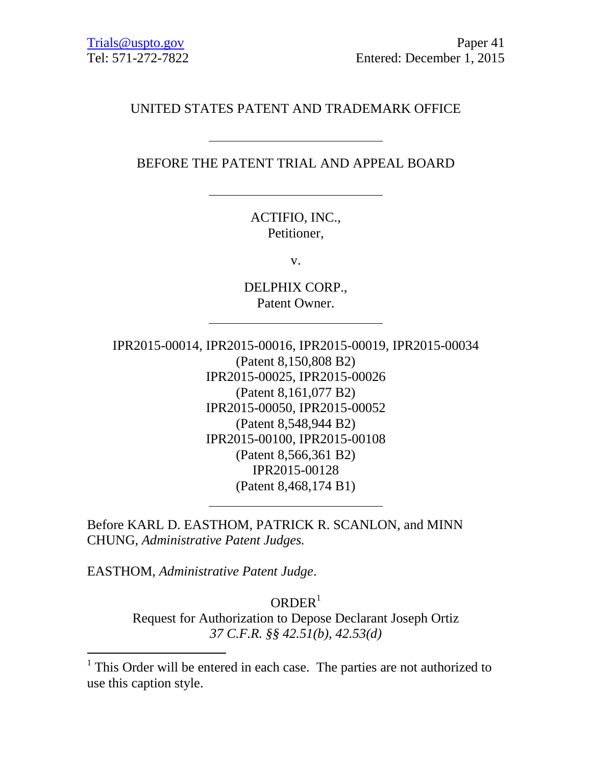## UNITED STATES PATENT AND TRADEMARK OFFICE

## BEFORE THE PATENT TRIAL AND APPEAL BOARD

ACTIFIO, INC., Petitioner,

v.

DELPHIX CORP., Patent Owner.

IPR2015-00014, IPR2015-00016, IPR2015-00019, IPR2015-00034 (Patent 8,150,808 B2) IPR2015-00025, IPR2015-00026 (Patent 8,161,077 B2) IPR2015-00050, IPR2015-00052 (Patent 8,548,944 B2) IPR2015-00100, IPR2015-00108 (Patent 8,566,361 B2) IPR2015-00128 (Patent 8,468,174 B1)

Before KARL D. EASTHOM, PATRICK R. SCANLON, and MINN CHUNG, *Administrative Patent Judges.*

EASTHOM, *Administrative Patent Judge*.

 $\overline{a}$ 

 $ORDER<sup>1</sup>$ 

Request for Authorization to Depose Declarant Joseph Ortiz *37 C.F.R. §§ 42.51(b), 42.53(d)*

<sup>&</sup>lt;sup>1</sup> This Order will be entered in each case. The parties are not authorized to use this caption style.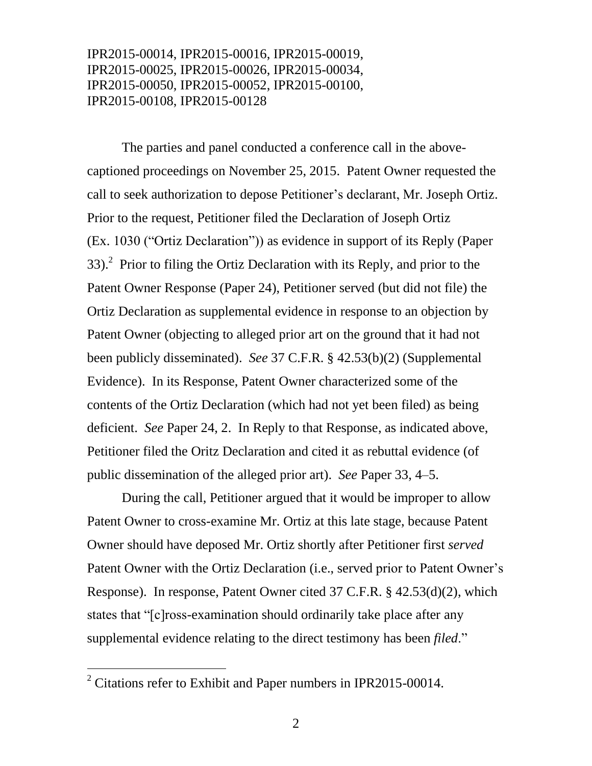IPR2015-00014, IPR2015-00016, IPR2015-00019, IPR2015-00025, IPR2015-00026, IPR2015-00034, IPR2015-00050, IPR2015-00052, IPR2015-00100, IPR2015-00108, IPR2015-00128

The parties and panel conducted a conference call in the abovecaptioned proceedings on November 25, 2015. Patent Owner requested the call to seek authorization to depose Petitioner's declarant, Mr. Joseph Ortiz. Prior to the request, Petitioner filed the Declaration of Joseph Ortiz (Ex. 1030 ("Ortiz Declaration")) as evidence in support of its Reply (Paper 33).<sup>2</sup> Prior to filing the Ortiz Declaration with its Reply, and prior to the Patent Owner Response (Paper 24), Petitioner served (but did not file) the Ortiz Declaration as supplemental evidence in response to an objection by Patent Owner (objecting to alleged prior art on the ground that it had not been publicly disseminated). *See* 37 C.F.R. § 42.53(b)(2) (Supplemental Evidence). In its Response, Patent Owner characterized some of the contents of the Ortiz Declaration (which had not yet been filed) as being deficient. *See* Paper 24, 2. In Reply to that Response, as indicated above, Petitioner filed the Oritz Declaration and cited it as rebuttal evidence (of public dissemination of the alleged prior art). *See* Paper 33, 4–5.

During the call, Petitioner argued that it would be improper to allow Patent Owner to cross-examine Mr. Ortiz at this late stage, because Patent Owner should have deposed Mr. Ortiz shortly after Petitioner first *served* Patent Owner with the Ortiz Declaration (i.e., served prior to Patent Owner's Response). In response, Patent Owner cited 37 C.F.R. § 42.53(d)(2), which states that "[c]ross-examination should ordinarily take place after any supplemental evidence relating to the direct testimony has been *filed*."

 $\overline{a}$ 

<sup>&</sup>lt;sup>2</sup> Citations refer to Exhibit and Paper numbers in IPR2015-00014.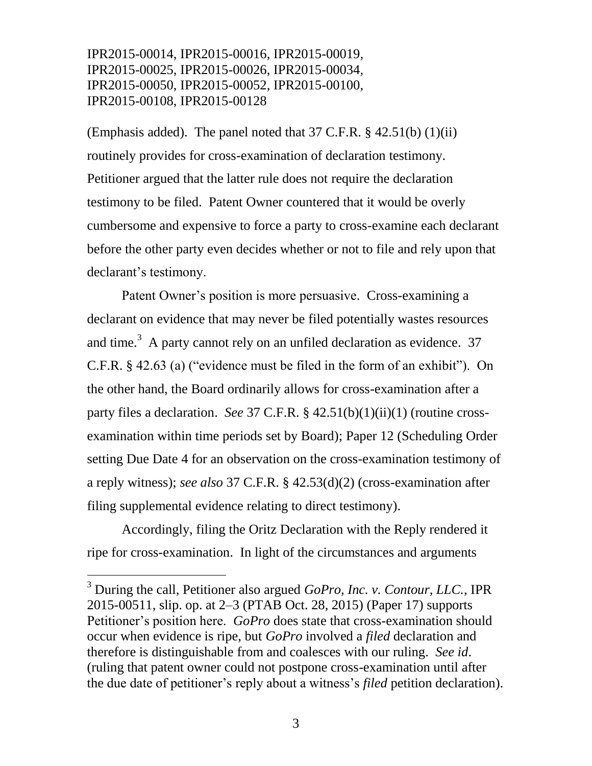## IPR2015-00014, IPR2015-00016, IPR2015-00019, IPR2015-00025, IPR2015-00026, IPR2015-00034, IPR2015-00050, IPR2015-00052, IPR2015-00100, IPR2015-00108, IPR2015-00128

(Emphasis added). The panel noted that 37 C.F.R. § 42.51(b) (1)(ii) routinely provides for cross-examination of declaration testimony. Petitioner argued that the latter rule does not require the declaration testimony to be filed. Patent Owner countered that it would be overly cumbersome and expensive to force a party to cross-examine each declarant before the other party even decides whether or not to file and rely upon that declarant's testimony.

Patent Owner's position is more persuasive. Cross-examining a declarant on evidence that may never be filed potentially wastes resources and time.<sup>3</sup> A party cannot rely on an unfiled declaration as evidence. 37 C.F.R. § 42.63 (a) ("evidence must be filed in the form of an exhibit"). On the other hand, the Board ordinarily allows for cross-examination after a party files a declaration. *See* 37 C.F.R. § 42.51(b)(1)(ii)(1) (routine crossexamination within time periods set by Board); Paper 12 (Scheduling Order setting Due Date 4 for an observation on the cross-examination testimony of a reply witness); *see also* 37 C.F.R. § 42.53(d)(2) (cross-examination after filing supplemental evidence relating to direct testimony).

Accordingly, filing the Oritz Declaration with the Reply rendered it ripe for cross-examination. In light of the circumstances and arguments

l

<sup>3</sup> During the call, Petitioner also argued *GoPro, Inc. v. Contour, LLC.*, IPR 2015-00511, slip. op. at 2–3 (PTAB Oct. 28, 2015) (Paper 17) supports Petitioner's position here. *GoPro* does state that cross-examination should occur when evidence is ripe, but *GoPro* involved a *filed* declaration and therefore is distinguishable from and coalesces with our ruling. *See id*. (ruling that patent owner could not postpone cross-examination until after the due date of petitioner's reply about a witness's *filed* petition declaration).